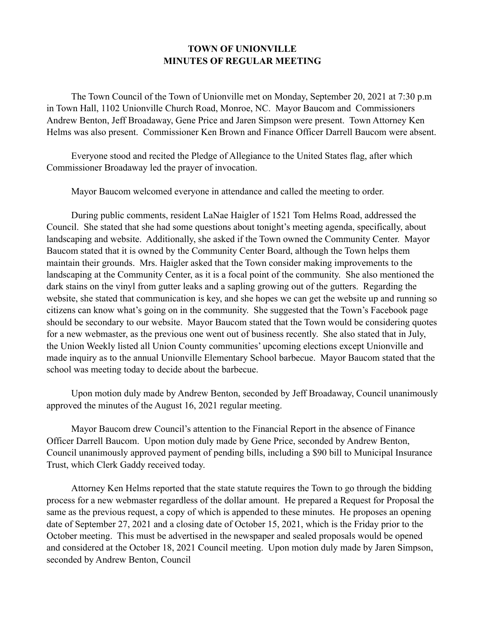## **TOWN OF UNIONVILLE MINUTES OF REGULAR MEETING**

 The Town Council of the Town of Unionville met on Monday, September 20, 2021 at 7:30 p.m in Town Hall, 1102 Unionville Church Road, Monroe, NC. Mayor Baucom and Commissioners Andrew Benton, Jeff Broadaway, Gene Price and Jaren Simpson were present. Town Attorney Ken Helms was also present. Commissioner Ken Brown and Finance Officer Darrell Baucom were absent.

 Everyone stood and recited the Pledge of Allegiance to the United States flag, after which Commissioner Broadaway led the prayer of invocation.

Mayor Baucom welcomed everyone in attendance and called the meeting to order.

 During public comments, resident LaNae Haigler of 1521 Tom Helms Road, addressed the Council. She stated that she had some questions about tonight's meeting agenda, specifically, about landscaping and website. Additionally, she asked if the Town owned the Community Center. Mayor Baucom stated that it is owned by the Community Center Board, although the Town helps them maintain their grounds. Mrs. Haigler asked that the Town consider making improvements to the landscaping at the Community Center, as it is a focal point of the community. She also mentioned the dark stains on the vinyl from gutter leaks and a sapling growing out of the gutters. Regarding the website, she stated that communication is key, and she hopes we can get the website up and running so citizens can know what's going on in the community. She suggested that the Town's Facebook page should be secondary to our website. Mayor Baucom stated that the Town would be considering quotes for a new webmaster, as the previous one went out of business recently. She also stated that in July, the Union Weekly listed all Union County communities' upcoming elections except Unionville and made inquiry as to the annual Unionville Elementary School barbecue. Mayor Baucom stated that the school was meeting today to decide about the barbecue.

 Upon motion duly made by Andrew Benton, seconded by Jeff Broadaway, Council unanimously approved the minutes of the August 16, 2021 regular meeting.

 Mayor Baucom drew Council's attention to the Financial Report in the absence of Finance Officer Darrell Baucom. Upon motion duly made by Gene Price, seconded by Andrew Benton, Council unanimously approved payment of pending bills, including a \$90 bill to Municipal Insurance Trust, which Clerk Gaddy received today.

 Attorney Ken Helms reported that the state statute requires the Town to go through the bidding process for a new webmaster regardless of the dollar amount. He prepared a Request for Proposal the same as the previous request, a copy of which is appended to these minutes. He proposes an opening date of September 27, 2021 and a closing date of October 15, 2021, which is the Friday prior to the October meeting. This must be advertised in the newspaper and sealed proposals would be opened and considered at the October 18, 2021 Council meeting. Upon motion duly made by Jaren Simpson, seconded by Andrew Benton, Council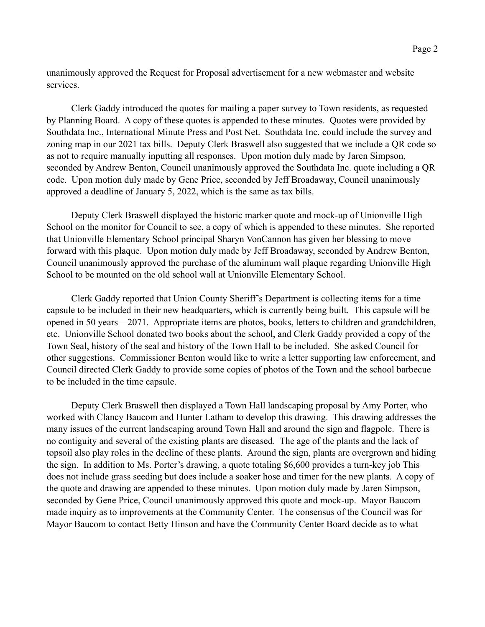unanimously approved the Request for Proposal advertisement for a new webmaster and website services.

 Clerk Gaddy introduced the quotes for mailing a paper survey to Town residents, as requested by Planning Board. A copy of these quotes is appended to these minutes. Quotes were provided by Southdata Inc., International Minute Press and Post Net. Southdata Inc. could include the survey and zoning map in our 2021 tax bills. Deputy Clerk Braswell also suggested that we include a QR code so as not to require manually inputting all responses. Upon motion duly made by Jaren Simpson, seconded by Andrew Benton, Council unanimously approved the Southdata Inc. quote including a QR code. Upon motion duly made by Gene Price, seconded by Jeff Broadaway, Council unanimously approved a deadline of January 5, 2022, which is the same as tax bills.

 Deputy Clerk Braswell displayed the historic marker quote and mock-up of Unionville High School on the monitor for Council to see, a copy of which is appended to these minutes. She reported that Unionville Elementary School principal Sharyn VonCannon has given her blessing to move forward with this plaque. Upon motion duly made by Jeff Broadaway, seconded by Andrew Benton, Council unanimously approved the purchase of the aluminum wall plaque regarding Unionville High School to be mounted on the old school wall at Unionville Elementary School.

 Clerk Gaddy reported that Union County Sheriff's Department is collecting items for a time capsule to be included in their new headquarters, which is currently being built. This capsule will be opened in 50 years—2071. Appropriate items are photos, books, letters to children and grandchildren, etc. Unionville School donated two books about the school, and Clerk Gaddy provided a copy of the Town Seal, history of the seal and history of the Town Hall to be included. She asked Council for other suggestions. Commissioner Benton would like to write a letter supporting law enforcement, and Council directed Clerk Gaddy to provide some copies of photos of the Town and the school barbecue to be included in the time capsule.

 Deputy Clerk Braswell then displayed a Town Hall landscaping proposal by Amy Porter, who worked with Clancy Baucom and Hunter Latham to develop this drawing. This drawing addresses the many issues of the current landscaping around Town Hall and around the sign and flagpole. There is no contiguity and several of the existing plants are diseased. The age of the plants and the lack of topsoil also play roles in the decline of these plants. Around the sign, plants are overgrown and hiding the sign. In addition to Ms. Porter's drawing, a quote totaling \$6,600 provides a turn-key job This does not include grass seeding but does include a soaker hose and timer for the new plants. A copy of the quote and drawing are appended to these minutes. Upon motion duly made by Jaren Simpson, seconded by Gene Price, Council unanimously approved this quote and mock-up. Mayor Baucom made inquiry as to improvements at the Community Center. The consensus of the Council was for Mayor Baucom to contact Betty Hinson and have the Community Center Board decide as to what